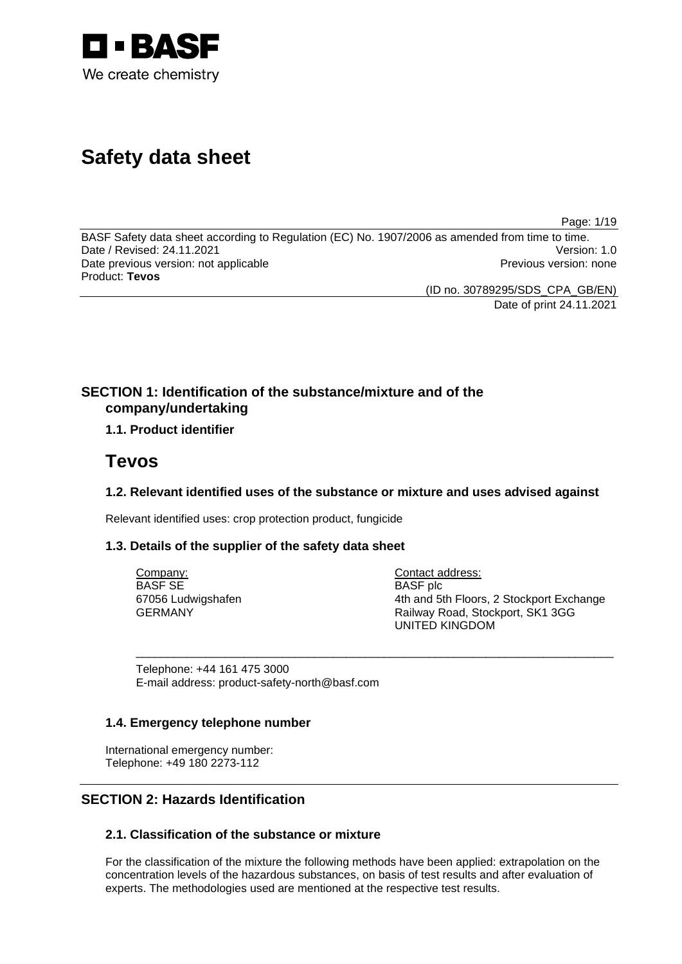

# **Safety data sheet**

Page: 1/19

BASF Safety data sheet according to Regulation (EC) No. 1907/2006 as amended from time to time. Date / Revised: 24.11.2021 Date previous version: not applicable **Previous version: none** Previous version: none Product: **Tevos** 

(ID no. 30789295/SDS\_CPA\_GB/EN)

Date of print 24.11.2021

# **SECTION 1: Identification of the substance/mixture and of the company/undertaking**

# **1.1. Product identifier**

# **Tevos**

# **1.2. Relevant identified uses of the substance or mixture and uses advised against**

\_\_\_\_\_\_\_\_\_\_\_\_\_\_\_\_\_\_\_\_\_\_\_\_\_\_\_\_\_\_\_\_\_\_\_\_\_\_\_\_\_\_\_\_\_\_\_\_\_\_\_\_\_\_\_\_\_\_\_\_\_\_\_\_\_\_\_\_\_\_\_\_\_\_\_

Relevant identified uses: crop protection product, fungicide

# **1.3. Details of the supplier of the safety data sheet**

Company: BASF SE 67056 Ludwigshafen GERMANY

Contact address: BASF plc 4th and 5th Floors, 2 Stockport Exchange Railway Road, Stockport, SK1 3GG UNITED KINGDOM

Telephone: +44 161 475 3000 E-mail address: product-safety-north@basf.com

# **1.4. Emergency telephone number**

International emergency number: Telephone: +49 180 2273-112

# **SECTION 2: Hazards Identification**

# **2.1. Classification of the substance or mixture**

For the classification of the mixture the following methods have been applied: extrapolation on the concentration levels of the hazardous substances, on basis of test results and after evaluation of experts. The methodologies used are mentioned at the respective test results.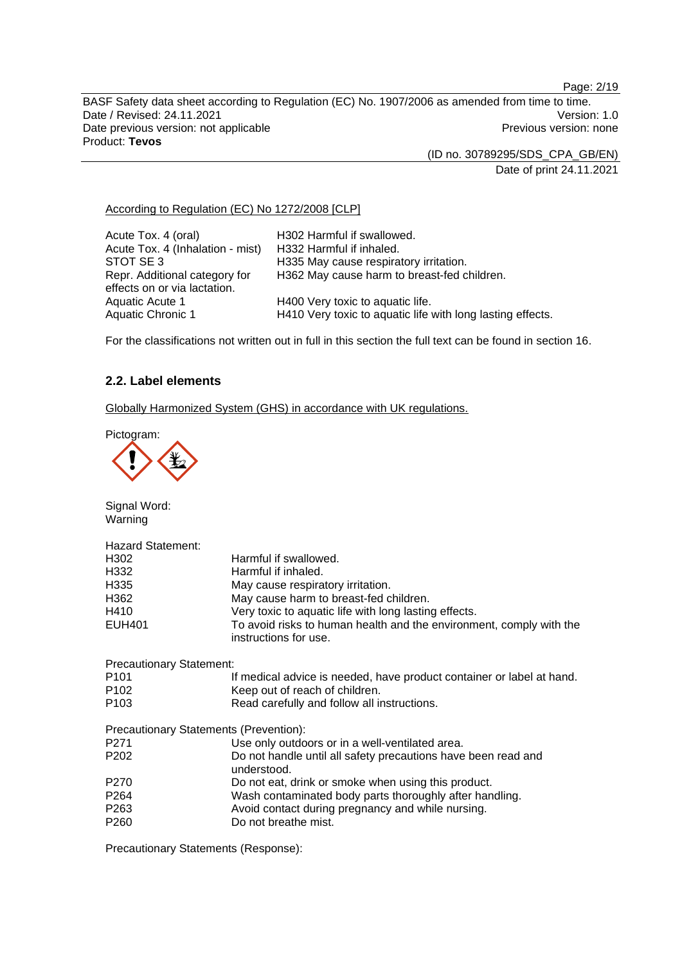Page: 2/19

BASF Safety data sheet according to Regulation (EC) No. 1907/2006 as amended from time to time. Date / Revised: 24.11.2021 **Version: 1.0** Date previous version: not applicable **Previous version: none** Previous version: none Product: **Tevos** 

(ID no. 30789295/SDS\_CPA\_GB/EN)

Date of print 24.11.2021

# According to Regulation (EC) No 1272/2008 [CLP]

| Acute Tox. 4 (oral)              | H302 Harmful if swallowed.                                 |
|----------------------------------|------------------------------------------------------------|
| Acute Tox. 4 (Inhalation - mist) | H332 Harmful if inhaled.                                   |
| STOT SE3                         | H335 May cause respiratory irritation.                     |
| Repr. Additional category for    | H362 May cause harm to breast-fed children.                |
| effects on or via lactation.     |                                                            |
| Aquatic Acute 1                  | H400 Very toxic to aquatic life.                           |
| Aquatic Chronic 1                | H410 Very toxic to aquatic life with long lasting effects. |

For the classifications not written out in full in this section the full text can be found in section 16.

# **2.2. Label elements**

Globally Harmonized System (GHS) in accordance with UK regulations.

Pictogram:



Signal Word: Warning

| Hazard Statement:               |                                                                                              |
|---------------------------------|----------------------------------------------------------------------------------------------|
| H302                            | Harmful if swallowed.                                                                        |
| H332                            | Harmful if inhaled.                                                                          |
| H <sub>335</sub>                | May cause respiratory irritation.                                                            |
| H362                            | May cause harm to breast-fed children.                                                       |
| H410                            | Very toxic to aquatic life with long lasting effects.                                        |
| <b>EUH401</b>                   | To avoid risks to human health and the environment, comply with the<br>instructions for use. |
| <b>Precautionary Statement:</b> |                                                                                              |
| P <sub>101</sub>                | If medical advice is needed, have product container or label at hand.                        |
| P <sub>102</sub>                | Keep out of reach of children.                                                               |
| P <sub>103</sub>                | Read carefully and follow all instructions.                                                  |
|                                 | Precautionary Statements (Prevention):                                                       |
| P <sub>271</sub>                | Use only outdoors or in a well-ventilated area.                                              |
| P <sub>202</sub>                | Do not handle until all safety precautions have been read and<br>understood.                 |
| P <sub>270</sub>                | Do not eat, drink or smoke when using this product.                                          |
| P <sub>264</sub>                | Wash contaminated body parts thoroughly after handling.                                      |
| P <sub>263</sub>                | Avoid contact during pregnancy and while nursing.                                            |
| P <sub>260</sub>                | Do not breathe mist.                                                                         |
|                                 |                                                                                              |

Precautionary Statements (Response):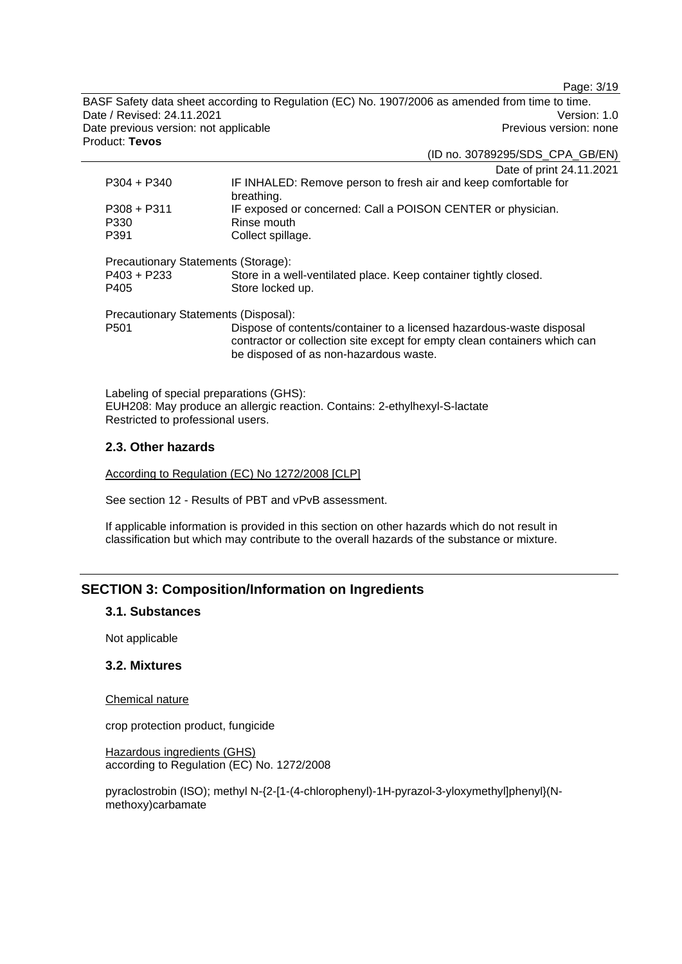Page: 3/19

BASF Safety data sheet according to Regulation (EC) No. 1907/2006 as amended from time to time. Date / Revised: 24.11.2021 **Version: 1.0** Date previous version: not applicable **Previous version: none** Previous version: none Product: **Tevos** 

(ID no. 30789295/SDS\_CPA\_GB/EN)

|                                      | Date of print 24.11.2021                                                                                                                                                                    |
|--------------------------------------|---------------------------------------------------------------------------------------------------------------------------------------------------------------------------------------------|
| $P304 + P340$                        | IF INHALED: Remove person to fresh air and keep comfortable for<br>breathing.                                                                                                               |
| $P308 + P311$                        | IF exposed or concerned: Call a POISON CENTER or physician.                                                                                                                                 |
| P330                                 | Rinse mouth                                                                                                                                                                                 |
| P391                                 | Collect spillage.                                                                                                                                                                           |
|                                      |                                                                                                                                                                                             |
| Precautionary Statements (Storage):  |                                                                                                                                                                                             |
| $P403 + P233$                        | Store in a well-ventilated place. Keep container tightly closed.                                                                                                                            |
| P405                                 | Store locked up.                                                                                                                                                                            |
|                                      |                                                                                                                                                                                             |
| Precautionary Statements (Disposal): |                                                                                                                                                                                             |
| P <sub>501</sub>                     | Dispose of contents/container to a licensed hazardous-waste disposal<br>contractor or collection site except for empty clean containers which can<br>be disposed of as non-hazardous waste. |
|                                      |                                                                                                                                                                                             |

Labeling of special preparations (GHS): EUH208: May produce an allergic reaction. Contains: 2-ethylhexyl-S-lactate Restricted to professional users.

# **2.3. Other hazards**

According to Regulation (EC) No 1272/2008 [CLP]

See section 12 - Results of PBT and vPvB assessment.

If applicable information is provided in this section on other hazards which do not result in classification but which may contribute to the overall hazards of the substance or mixture.

# **SECTION 3: Composition/Information on Ingredients**

#### **3.1. Substances**

Not applicable

#### **3.2. Mixtures**

#### Chemical nature

crop protection product, fungicide

Hazardous ingredients (GHS) according to Regulation (EC) No. 1272/2008

pyraclostrobin (ISO); methyl N-{2-[1-(4-chlorophenyl)-1H-pyrazol-3-yloxymethyl]phenyl}(Nmethoxy)carbamate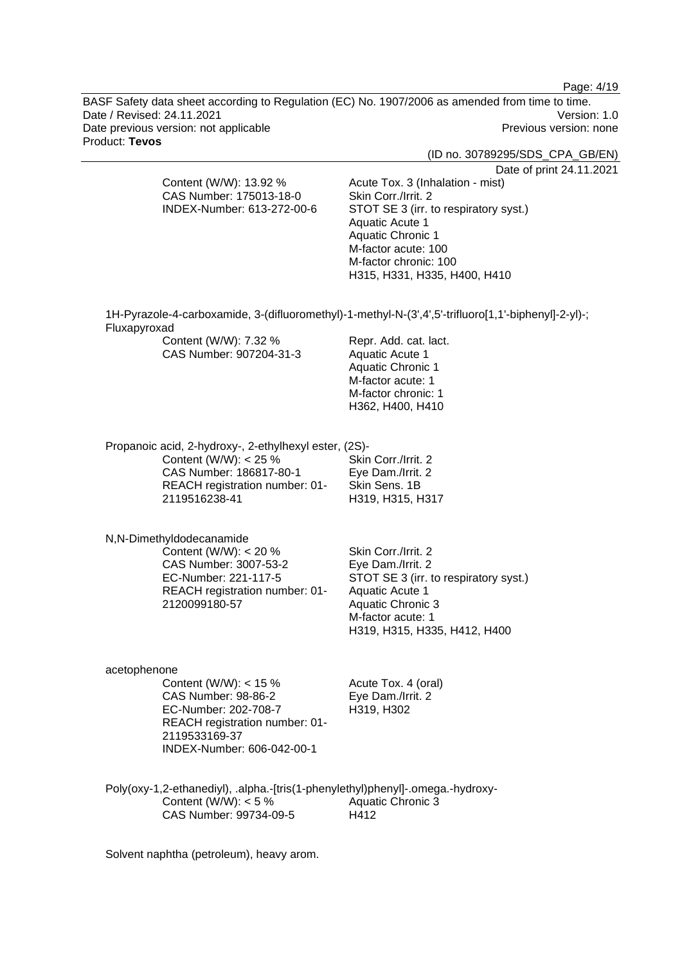Page: 4/19

BASF Safety data sheet according to Regulation (EC) No. 1907/2006 as amended from time to time. Date / Revised: 24.11.2021 Version: 1.0 Date previous version: not applicable example and the Previous version: none Product: **Tevos** 

(ID no. 30789295/SDS\_CPA\_GB/EN)

Date of print 24.11.2021

Content (W/W): 13.92 % CAS Number: 175013-18-0 INDEX-Number: 613-272-00-6 Acute Tox. 3 (Inhalation - mist) Skin Corr./Irrit. 2 STOT SE 3 (irr. to respiratory syst.) Aquatic Acute 1 Aquatic Chronic 1 M-factor acute: 100 M-factor chronic: 100 H315, H331, H335, H400, H410 1H-Pyrazole-4-carboxamide, 3-(difluoromethyl)-1-methyl-N-(3',4',5'-trifluoro[1,1'-biphenyl]-2-yl)-; Fluxapyroxad Content (W/W): 7.32 % CAS Number: 907204-31-3 Repr. Add. cat. lact. Aquatic Acute 1 Aquatic Chronic 1 M-factor acute: 1 M-factor chronic: 1 H362, H400, H410 Propanoic acid, 2-hydroxy-, 2-ethylhexyl ester, (2S)- Content (W/W): < 25 % CAS Number: 186817-80-1 REACH registration number: 01- 2119516238-41 Skin Corr./Irrit. 2 Eye Dam./Irrit. 2 Skin Sens. 1B H319, H315, H317 N,N-Dimethyldodecanamide Content (W/W):  $< 20 \%$ CAS Number: 3007-53-2 EC-Number: 221-117-5 REACH registration number: 01- 2120099180-57 Skin Corr./Irrit. 2 Eye Dam./Irrit. 2 STOT SE 3 (irr. to respiratory syst.) Aquatic Acute 1 Aquatic Chronic 3 M-factor acute: 1 H319, H315, H335, H412, H400 acetophenone Content (W/W): < 15 % CAS Number: 98-86-2 EC-Number: 202-708-7 REACH registration number: 01- 2119533169-37 INDEX-Number: 606-042-00-1 Acute Tox. 4 (oral) Eye Dam./Irrit. 2 H319, H302 Poly(oxy-1,2-ethanediyl), .alpha.-[tris(1-phenylethyl)phenyl]-.omega.-hydroxy-Content (W/W):  $< 5 \%$ Aquatic Chronic 3

H412

Solvent naphtha (petroleum), heavy arom.

CAS Number: 99734-09-5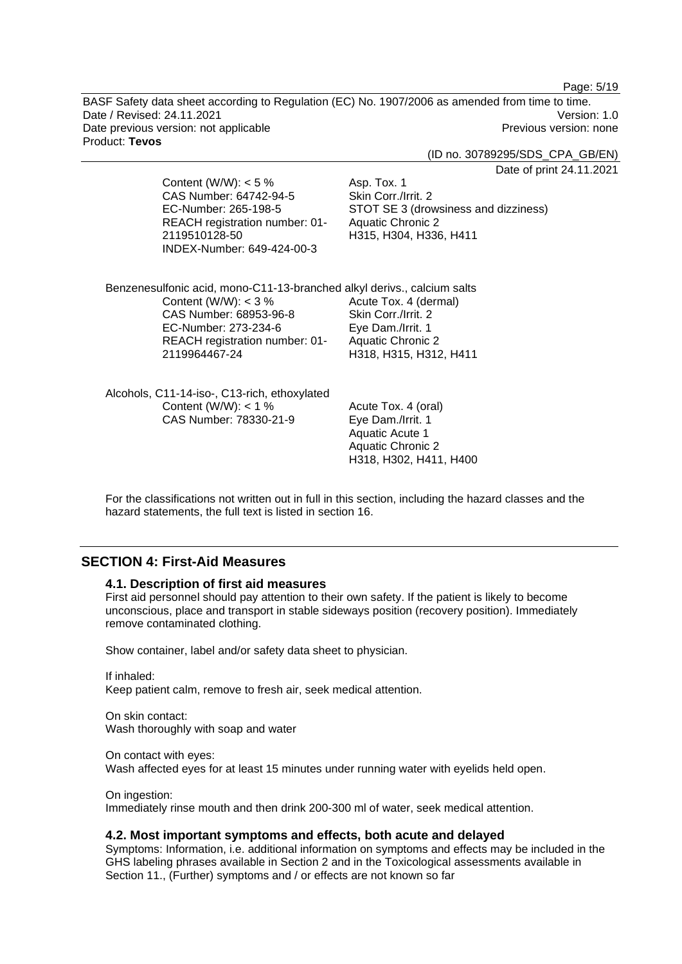Page: 5/19

BASF Safety data sheet according to Regulation (EC) No. 1907/2006 as amended from time to time. Date / Revised: 24.11.2021 **Version: 1.0** Date previous version: not applicable **Previous version: none** Previous version: none Product: **Tevos** 

(ID no. 30789295/SDS\_CPA\_GB/EN)

Date of print 24.11.2021

| Content (W/W): $<$ 5 %<br>CAS Number: 64742-94-5<br>EC-Number: 265-198-5<br>REACH registration number: 01-<br>2119510128-50<br>INDEX-Number: 649-424-00-3                                              | Dale VI pill<br>Asp. Tox. 1<br>Skin Corr./Irrit. 2<br>STOT SE 3 (drowsiness and dizziness)<br><b>Aquatic Chronic 2</b><br>H315, H304, H336, H411 |
|--------------------------------------------------------------------------------------------------------------------------------------------------------------------------------------------------------|--------------------------------------------------------------------------------------------------------------------------------------------------|
| Benzenesulfonic acid, mono-C11-13-branched alkyl derivs., calcium salts<br>Content (W/W): $<$ 3 %<br>CAS Number: 68953-96-8<br>EC-Number: 273-234-6<br>REACH registration number: 01-<br>2119964467-24 | Acute Tox. 4 (dermal)<br>Skin Corr./Irrit. 2<br>Eye Dam./Irrit. 1<br><b>Aquatic Chronic 2</b><br>H318, H315, H312, H411                          |
| Alcohols, C11-14-iso-, C13-rich, ethoxylated<br>Content (W/W): $<$ 1 %<br>CAS Number: 78330-21-9                                                                                                       | Acute Tox. 4 (oral)<br>Eye Dam./Irrit. 1<br>Aquatic Acute 1<br><b>Aquatic Chronic 2</b><br>H318, H302, H411, H400                                |

For the classifications not written out in full in this section, including the hazard classes and the hazard statements, the full text is listed in section 16.

# **SECTION 4: First-Aid Measures**

#### **4.1. Description of first aid measures**

First aid personnel should pay attention to their own safety. If the patient is likely to become unconscious, place and transport in stable sideways position (recovery position). Immediately remove contaminated clothing.

Show container, label and/or safety data sheet to physician.

If inhaled: Keep patient calm, remove to fresh air, seek medical attention.

On skin contact: Wash thoroughly with soap and water

On contact with eyes: Wash affected eyes for at least 15 minutes under running water with eyelids held open.

On ingestion: Immediately rinse mouth and then drink 200-300 ml of water, seek medical attention.

#### **4.2. Most important symptoms and effects, both acute and delayed**

Symptoms: Information, i.e. additional information on symptoms and effects may be included in the GHS labeling phrases available in Section 2 and in the Toxicological assessments available in Section 11., (Further) symptoms and / or effects are not known so far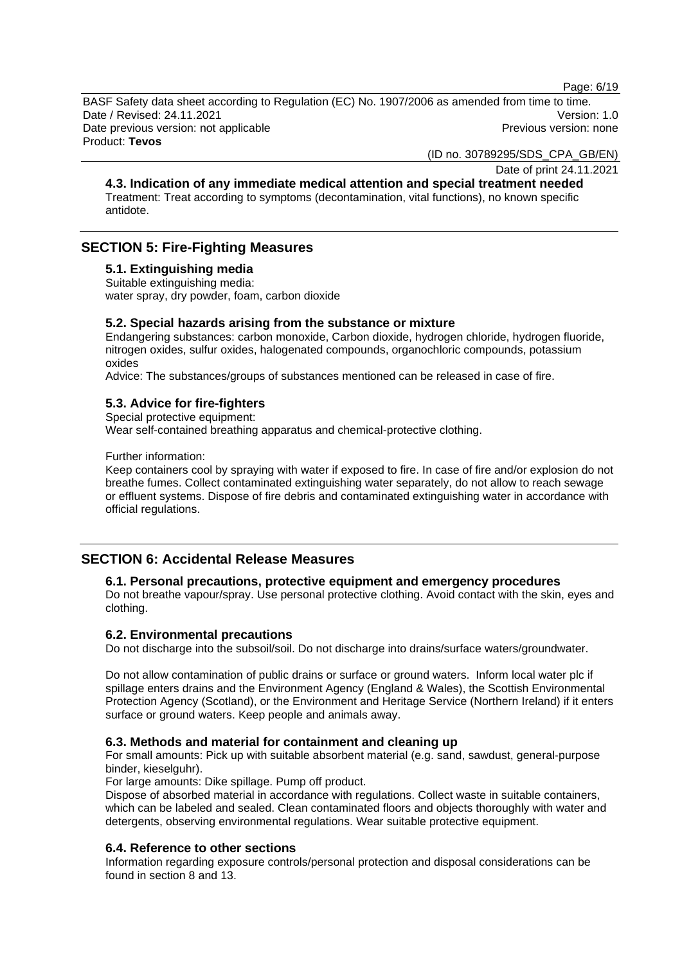Page: 6/19

BASF Safety data sheet according to Regulation (EC) No. 1907/2006 as amended from time to time. Date / Revised: 24.11.2021 Version: 1.0 Date previous version: not applicable example and previous version: none Previous version: none Product: **Tevos** 

(ID no. 30789295/SDS\_CPA\_GB/EN)

Date of print 24.11.2021

**4.3. Indication of any immediate medical attention and special treatment needed**  Treatment: Treat according to symptoms (decontamination, vital functions), no known specific antidote.

# **SECTION 5: Fire-Fighting Measures**

# **5.1. Extinguishing media**

Suitable extinguishing media: water spray, dry powder, foam, carbon dioxide

# **5.2. Special hazards arising from the substance or mixture**

Endangering substances: carbon monoxide, Carbon dioxide, hydrogen chloride, hydrogen fluoride, nitrogen oxides, sulfur oxides, halogenated compounds, organochloric compounds, potassium oxides

Advice: The substances/groups of substances mentioned can be released in case of fire.

# **5.3. Advice for fire-fighters**

Special protective equipment:

Wear self-contained breathing apparatus and chemical-protective clothing.

Further information:

Keep containers cool by spraying with water if exposed to fire. In case of fire and/or explosion do not breathe fumes. Collect contaminated extinguishing water separately, do not allow to reach sewage or effluent systems. Dispose of fire debris and contaminated extinguishing water in accordance with official regulations.

# **SECTION 6: Accidental Release Measures**

# **6.1. Personal precautions, protective equipment and emergency procedures**

Do not breathe vapour/spray. Use personal protective clothing. Avoid contact with the skin, eyes and clothing.

# **6.2. Environmental precautions**

Do not discharge into the subsoil/soil. Do not discharge into drains/surface waters/groundwater.

Do not allow contamination of public drains or surface or ground waters. Inform local water plc if spillage enters drains and the Environment Agency (England & Wales), the Scottish Environmental Protection Agency (Scotland), or the Environment and Heritage Service (Northern Ireland) if it enters surface or ground waters. Keep people and animals away.

#### **6.3. Methods and material for containment and cleaning up**

For small amounts: Pick up with suitable absorbent material (e.g. sand, sawdust, general-purpose binder, kieselguhr).

For large amounts: Dike spillage. Pump off product.

Dispose of absorbed material in accordance with regulations. Collect waste in suitable containers, which can be labeled and sealed. Clean contaminated floors and objects thoroughly with water and detergents, observing environmental regulations. Wear suitable protective equipment.

# **6.4. Reference to other sections**

Information regarding exposure controls/personal protection and disposal considerations can be found in section 8 and 13.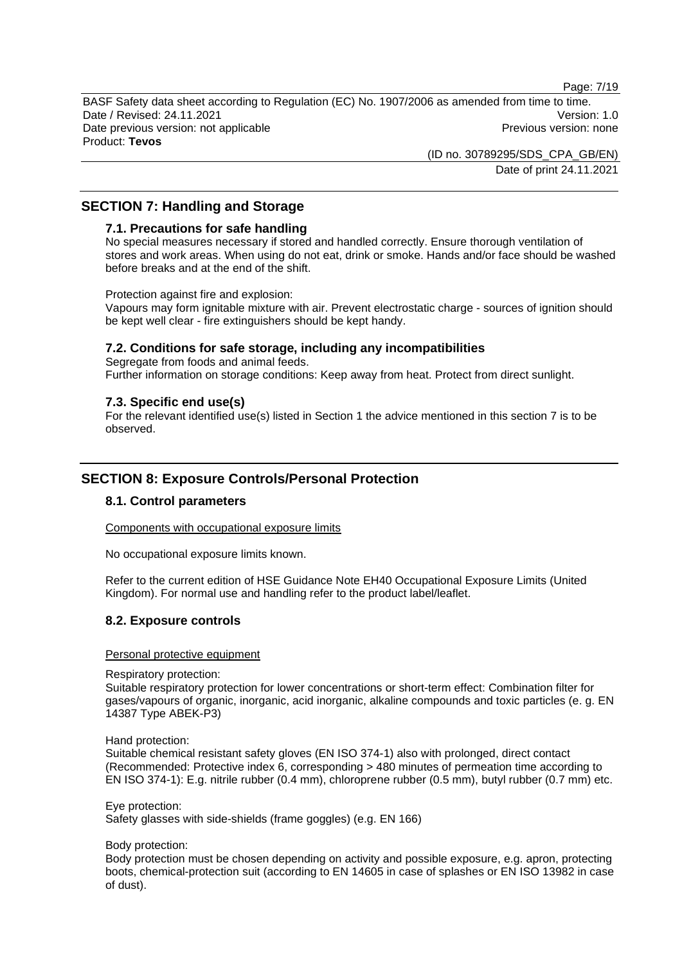Page: 7/19

BASF Safety data sheet according to Regulation (EC) No. 1907/2006 as amended from time to time. Date / Revised: 24.11.2021 **Version: 1.0** Date previous version: not applicable example and the Previous version: none Product: **Tevos** 

> (ID no. 30789295/SDS\_CPA\_GB/EN) Date of print 24.11.2021

# **SECTION 7: Handling and Storage**

# **7.1. Precautions for safe handling**

No special measures necessary if stored and handled correctly. Ensure thorough ventilation of stores and work areas. When using do not eat, drink or smoke. Hands and/or face should be washed before breaks and at the end of the shift.

Protection against fire and explosion:

Vapours may form ignitable mixture with air. Prevent electrostatic charge - sources of ignition should be kept well clear - fire extinguishers should be kept handy.

# **7.2. Conditions for safe storage, including any incompatibilities**

Segregate from foods and animal feeds. Further information on storage conditions: Keep away from heat. Protect from direct sunlight.

# **7.3. Specific end use(s)**

For the relevant identified use(s) listed in Section 1 the advice mentioned in this section 7 is to be observed.

# **SECTION 8: Exposure Controls/Personal Protection**

# **8.1. Control parameters**

Components with occupational exposure limits

No occupational exposure limits known.

Refer to the current edition of HSE Guidance Note EH40 Occupational Exposure Limits (United Kingdom). For normal use and handling refer to the product label/leaflet.

# **8.2. Exposure controls**

#### Personal protective equipment

Respiratory protection:

Suitable respiratory protection for lower concentrations or short-term effect: Combination filter for gases/vapours of organic, inorganic, acid inorganic, alkaline compounds and toxic particles (e. g. EN 14387 Type ABEK-P3)

Hand protection:

Suitable chemical resistant safety gloves (EN ISO 374-1) also with prolonged, direct contact (Recommended: Protective index 6, corresponding > 480 minutes of permeation time according to EN ISO 374-1): E.g. nitrile rubber (0.4 mm), chloroprene rubber (0.5 mm), butyl rubber (0.7 mm) etc.

Eye protection:

Safety glasses with side-shields (frame goggles) (e.g. EN 166)

Body protection:

Body protection must be chosen depending on activity and possible exposure, e.g. apron, protecting boots, chemical-protection suit (according to EN 14605 in case of splashes or EN ISO 13982 in case of dust).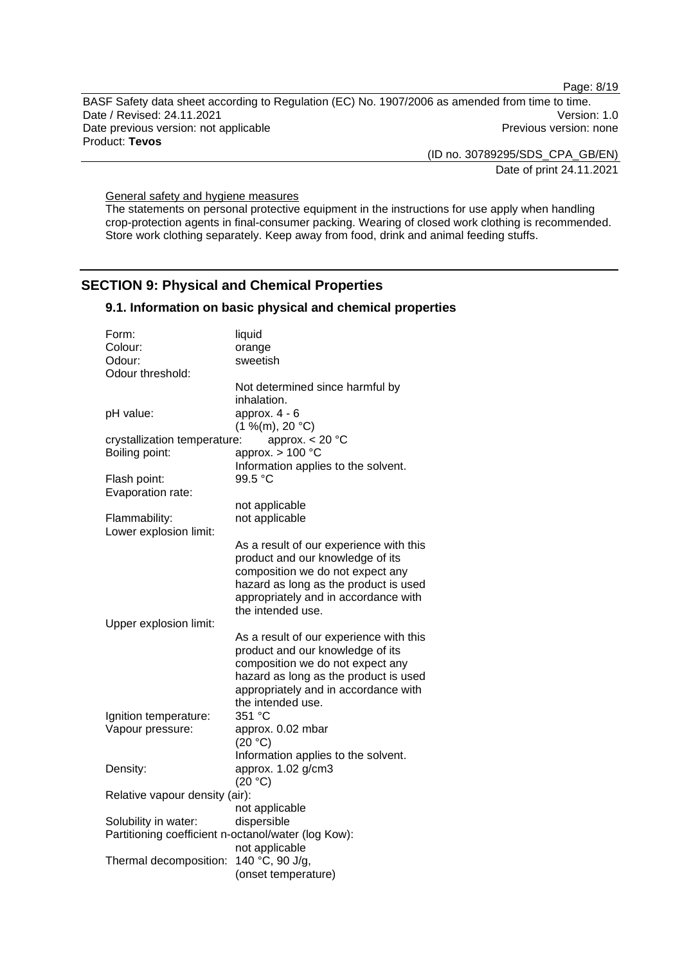Page: 8/19

BASF Safety data sheet according to Regulation (EC) No. 1907/2006 as amended from time to time. Date / Revised: 24.11.2021 **Version: 1.0** Date previous version: not applicable **Previous version: none** Previous version: none Product: **Tevos** 

(ID no. 30789295/SDS\_CPA\_GB/EN)

Date of print 24.11.2021

General safety and hygiene measures

The statements on personal protective equipment in the instructions for use apply when handling crop-protection agents in final-consumer packing. Wearing of closed work clothing is recommended. Store work clothing separately. Keep away from food, drink and animal feeding stuffs.

# **SECTION 9: Physical and Chemical Properties**

# **9.1. Information on basic physical and chemical properties**

| Form:                                               | liquid                                  |
|-----------------------------------------------------|-----------------------------------------|
| Colour:                                             | orange                                  |
| Odour:                                              | sweetish                                |
| Odour threshold:                                    |                                         |
|                                                     | Not determined since harmful by         |
|                                                     | inhalation.                             |
| pH value:                                           | approx. $4 - 6$                         |
|                                                     | (1 %(m), 20 °C)                         |
| crystallization temperature:                        | approx. $< 20 °C$                       |
| Boiling point:                                      | approx. $> 100$ °C                      |
|                                                     | Information applies to the solvent.     |
| Flash point:                                        | 99.5 °C                                 |
| Evaporation rate:                                   |                                         |
|                                                     | not applicable                          |
| Flammability:                                       | not applicable                          |
| Lower explosion limit:                              |                                         |
|                                                     | As a result of our experience with this |
|                                                     | product and our knowledge of its        |
|                                                     | composition we do not expect any        |
|                                                     | hazard as long as the product is used   |
|                                                     | appropriately and in accordance with    |
|                                                     | the intended use.                       |
| Upper explosion limit:                              |                                         |
|                                                     | As a result of our experience with this |
|                                                     | product and our knowledge of its        |
|                                                     | composition we do not expect any        |
|                                                     | hazard as long as the product is used   |
|                                                     | appropriately and in accordance with    |
|                                                     | the intended use.                       |
| Ignition temperature:                               | 351 °C                                  |
| Vapour pressure:                                    | approx. 0.02 mbar                       |
|                                                     | (20 °C)                                 |
|                                                     | Information applies to the solvent.     |
| Density:                                            | approx. 1.02 g/cm3                      |
|                                                     | (20 °C)                                 |
| Relative vapour density (air):                      |                                         |
|                                                     | not applicable                          |
| Solubility in water:                                | dispersible                             |
| Partitioning coefficient n-octanol/water (log Kow): |                                         |
|                                                     | not applicable                          |
| Thermal decomposition:                              | 140 °C, 90 J/g,                         |
|                                                     |                                         |
|                                                     | (onset temperature)                     |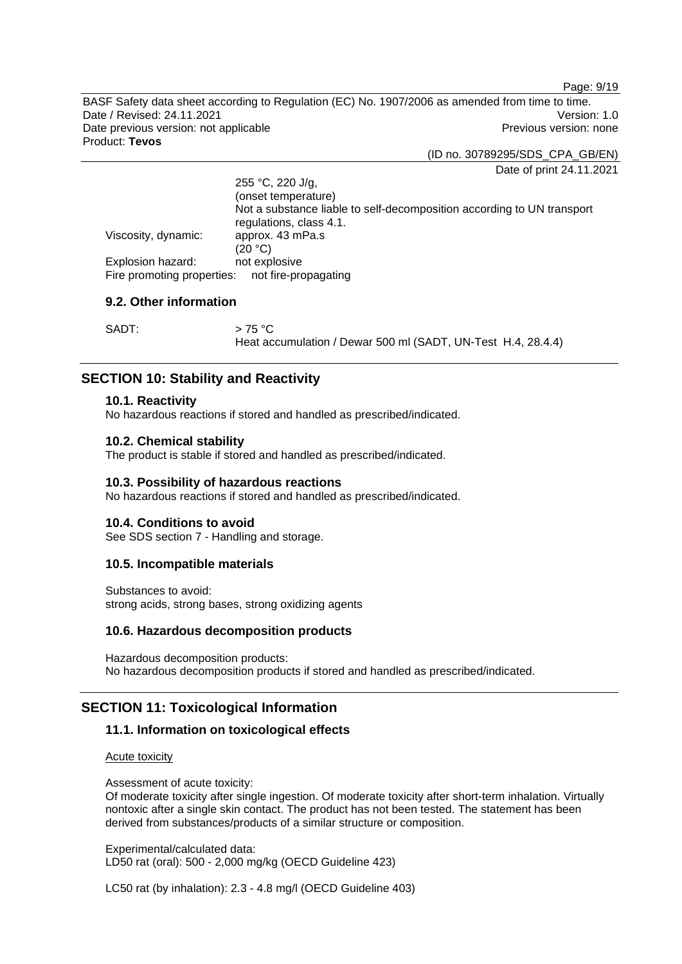Page: 9/19

BASF Safety data sheet according to Regulation (EC) No. 1907/2006 as amended from time to time. Date / Revised: 24.11.2021 **Version: 1.0** Date previous version: not applicable example and the Previous version: none Product: **Tevos** 

(ID no. 30789295/SDS\_CPA\_GB/EN)

Date of print 24.11.2021

|                            | 255 °C, 220 J/g,                                                                                  |  |
|----------------------------|---------------------------------------------------------------------------------------------------|--|
|                            | (onset temperature)                                                                               |  |
|                            | Not a substance liable to self-decomposition according to UN transport<br>regulations, class 4.1. |  |
| Viscosity, dynamic:        | approx. 43 mPa.s                                                                                  |  |
|                            | (20 °C)                                                                                           |  |
| Explosion hazard:          | not explosive                                                                                     |  |
| Fire promoting properties: | not fire-propagating                                                                              |  |

# **9.2. Other information**

| SADT: | $>75\,^{\circ}\mathrm{C}$                                    |
|-------|--------------------------------------------------------------|
|       | Heat accumulation / Dewar 500 ml (SADT, UN-Test H.4, 28.4.4) |

# **SECTION 10: Stability and Reactivity**

### **10.1. Reactivity**

No hazardous reactions if stored and handled as prescribed/indicated.

#### **10.2. Chemical stability**

The product is stable if stored and handled as prescribed/indicated.

#### **10.3. Possibility of hazardous reactions**

No hazardous reactions if stored and handled as prescribed/indicated.

#### **10.4. Conditions to avoid**

See SDS section 7 - Handling and storage.

### **10.5. Incompatible materials**

Substances to avoid: strong acids, strong bases, strong oxidizing agents

#### **10.6. Hazardous decomposition products**

Hazardous decomposition products: No hazardous decomposition products if stored and handled as prescribed/indicated.

# **SECTION 11: Toxicological Information**

# **11.1. Information on toxicological effects**

#### Acute toxicity

Assessment of acute toxicity:

Of moderate toxicity after single ingestion. Of moderate toxicity after short-term inhalation. Virtually nontoxic after a single skin contact. The product has not been tested. The statement has been derived from substances/products of a similar structure or composition.

Experimental/calculated data: LD50 rat (oral): 500 - 2,000 mg/kg (OECD Guideline 423)

LC50 rat (by inhalation): 2.3 - 4.8 mg/l (OECD Guideline 403)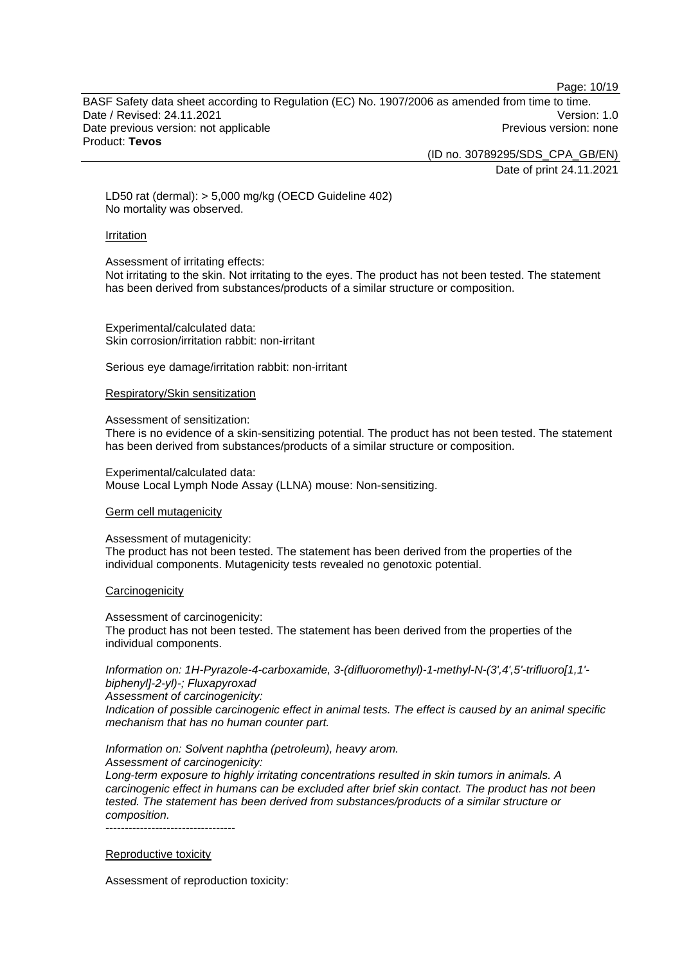Page: 10/19

BASF Safety data sheet according to Regulation (EC) No. 1907/2006 as amended from time to time. Date / Revised: 24.11.2021 **Version: 1.0** Date previous version: not applicable example and the Previous version: none Product: **Tevos** 

(ID no. 30789295/SDS\_CPA\_GB/EN)

Date of print 24.11.2021

LD50 rat (dermal): > 5,000 mg/kg (OECD Guideline 402) No mortality was observed.

#### Irritation

#### Assessment of irritating effects:

Not irritating to the skin. Not irritating to the eyes. The product has not been tested. The statement has been derived from substances/products of a similar structure or composition.

Experimental/calculated data: Skin corrosion/irritation rabbit: non-irritant

Serious eye damage/irritation rabbit: non-irritant

#### Respiratory/Skin sensitization

#### Assessment of sensitization:

There is no evidence of a skin-sensitizing potential. The product has not been tested. The statement has been derived from substances/products of a similar structure or composition.

Experimental/calculated data: Mouse Local Lymph Node Assay (LLNA) mouse: Non-sensitizing.

#### Germ cell mutagenicity

#### Assessment of mutagenicity:

The product has not been tested. The statement has been derived from the properties of the individual components. Mutagenicity tests revealed no genotoxic potential.

#### **Carcinogenicity**

Assessment of carcinogenicity:

The product has not been tested. The statement has been derived from the properties of the individual components.

*Information on: 1H-Pyrazole-4-carboxamide, 3-(difluoromethyl)-1-methyl-N-(3',4',5'-trifluoro[1,1' biphenyl]-2-yl)-; Fluxapyroxad Assessment of carcinogenicity:* 

*Indication of possible carcinogenic effect in animal tests. The effect is caused by an animal specific mechanism that has no human counter part.* 

# *Information on: Solvent naphtha (petroleum), heavy arom.*

*Assessment of carcinogenicity:* 

*Long-term exposure to highly irritating concentrations resulted in skin tumors in animals. A carcinogenic effect in humans can be excluded after brief skin contact. The product has not been tested. The statement has been derived from substances/products of a similar structure or composition.* 

----------------------------------

#### Reproductive toxicity

Assessment of reproduction toxicity: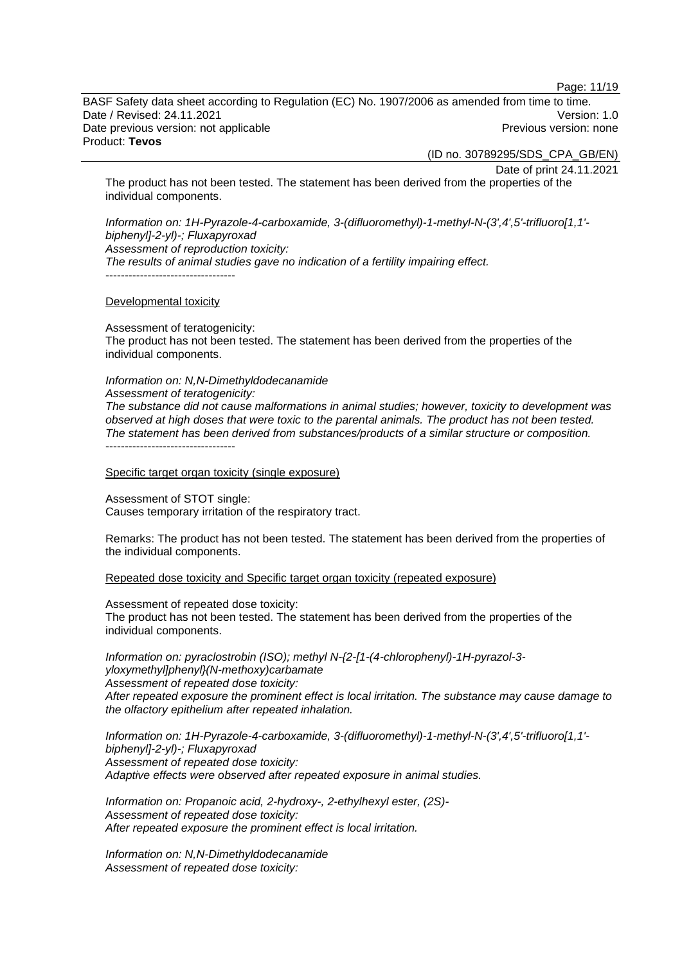Page: 11/19

BASF Safety data sheet according to Regulation (EC) No. 1907/2006 as amended from time to time. Date / Revised: 24.11.2021 **Version: 1.0** Date previous version: not applicable example and the Previous version: none Product: **Tevos** 

(ID no. 30789295/SDS\_CPA\_GB/EN)

Date of print 24.11.2021

The product has not been tested. The statement has been derived from the properties of the individual components.

*Information on: 1H-Pyrazole-4-carboxamide, 3-(difluoromethyl)-1-methyl-N-(3',4',5'-trifluoro[1,1' biphenyl]-2-yl)-; Fluxapyroxad Assessment of reproduction toxicity: The results of animal studies gave no indication of a fertility impairing effect.*  ----------------------------------

Developmental toxicity

Assessment of teratogenicity: The product has not been tested. The statement has been derived from the properties of the individual components.

*Information on: N,N-Dimethyldodecanamide Assessment of teratogenicity: The substance did not cause malformations in animal studies; however, toxicity to development was observed at high doses that were toxic to the parental animals. The product has not been tested. The statement has been derived from substances/products of a similar structure or composition.*  -----------------------------------

Specific target organ toxicity (single exposure)

Assessment of STOT single: Causes temporary irritation of the respiratory tract.

Remarks: The product has not been tested. The statement has been derived from the properties of the individual components.

Repeated dose toxicity and Specific target organ toxicity (repeated exposure)

Assessment of repeated dose toxicity: The product has not been tested. The statement has been derived from the properties of the individual components.

*Information on: pyraclostrobin (ISO); methyl N-{2-[1-(4-chlorophenyl)-1H-pyrazol-3 yloxymethyl]phenyl}(N-methoxy)carbamate Assessment of repeated dose toxicity: After repeated exposure the prominent effect is local irritation. The substance may cause damage to the olfactory epithelium after repeated inhalation.* 

*Information on: 1H-Pyrazole-4-carboxamide, 3-(difluoromethyl)-1-methyl-N-(3',4',5'-trifluoro[1,1' biphenyl]-2-yl)-; Fluxapyroxad Assessment of repeated dose toxicity: Adaptive effects were observed after repeated exposure in animal studies.* 

*Information on: Propanoic acid, 2-hydroxy-, 2-ethylhexyl ester, (2S)- Assessment of repeated dose toxicity: After repeated exposure the prominent effect is local irritation.* 

*Information on: N,N-Dimethyldodecanamide Assessment of repeated dose toxicity:*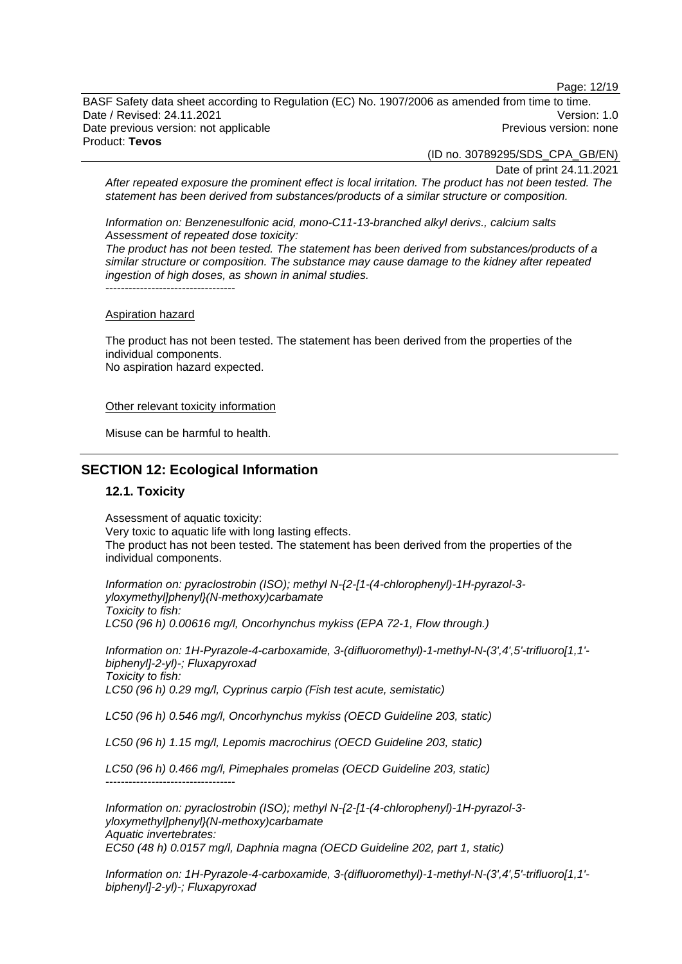Page: 12/19

BASF Safety data sheet according to Regulation (EC) No. 1907/2006 as amended from time to time. Date / Revised: 24.11.2021 Version: 1.0 Date previous version: not applicable example and the Previous version: none Product: **Tevos** 

(ID no. 30789295/SDS\_CPA\_GB/EN)

Date of print 24.11.2021

*After repeated exposure the prominent effect is local irritation. The product has not been tested. The statement has been derived from substances/products of a similar structure or composition.* 

*Information on: Benzenesulfonic acid, mono-C11-13-branched alkyl derivs., calcium salts Assessment of repeated dose toxicity:* 

*The product has not been tested. The statement has been derived from substances/products of a similar structure or composition. The substance may cause damage to the kidney after repeated ingestion of high doses, as shown in animal studies.*  -----------------------------------

#### Aspiration hazard

The product has not been tested. The statement has been derived from the properties of the individual components. No aspiration hazard expected.

Other relevant toxicity information

Misuse can be harmful to health.

# **SECTION 12: Ecological Information**

#### **12.1. Toxicity**

-----------------------------------

Assessment of aquatic toxicity: Very toxic to aquatic life with long lasting effects. The product has not been tested. The statement has been derived from the properties of the individual components.

*Information on: pyraclostrobin (ISO); methyl N-{2-[1-(4-chlorophenyl)-1H-pyrazol-3 yloxymethyl]phenyl}(N-methoxy)carbamate Toxicity to fish: LC50 (96 h) 0.00616 mg/l, Oncorhynchus mykiss (EPA 72-1, Flow through.)* 

*Information on: 1H-Pyrazole-4-carboxamide, 3-(difluoromethyl)-1-methyl-N-(3',4',5'-trifluoro[1,1' biphenyl]-2-yl)-; Fluxapyroxad Toxicity to fish: LC50 (96 h) 0.29 mg/l, Cyprinus carpio (Fish test acute, semistatic)* 

*LC50 (96 h) 0.546 mg/l, Oncorhynchus mykiss (OECD Guideline 203, static)* 

*LC50 (96 h) 1.15 mg/l, Lepomis macrochirus (OECD Guideline 203, static)* 

*LC50 (96 h) 0.466 mg/l, Pimephales promelas (OECD Guideline 203, static)* 

*Information on: pyraclostrobin (ISO); methyl N-{2-[1-(4-chlorophenyl)-1H-pyrazol-3 yloxymethyl]phenyl}(N-methoxy)carbamate Aquatic invertebrates: EC50 (48 h) 0.0157 mg/l, Daphnia magna (OECD Guideline 202, part 1, static)* 

*Information on: 1H-Pyrazole-4-carboxamide, 3-(difluoromethyl)-1-methyl-N-(3',4',5'-trifluoro[1,1' biphenyl]-2-yl)-; Fluxapyroxad*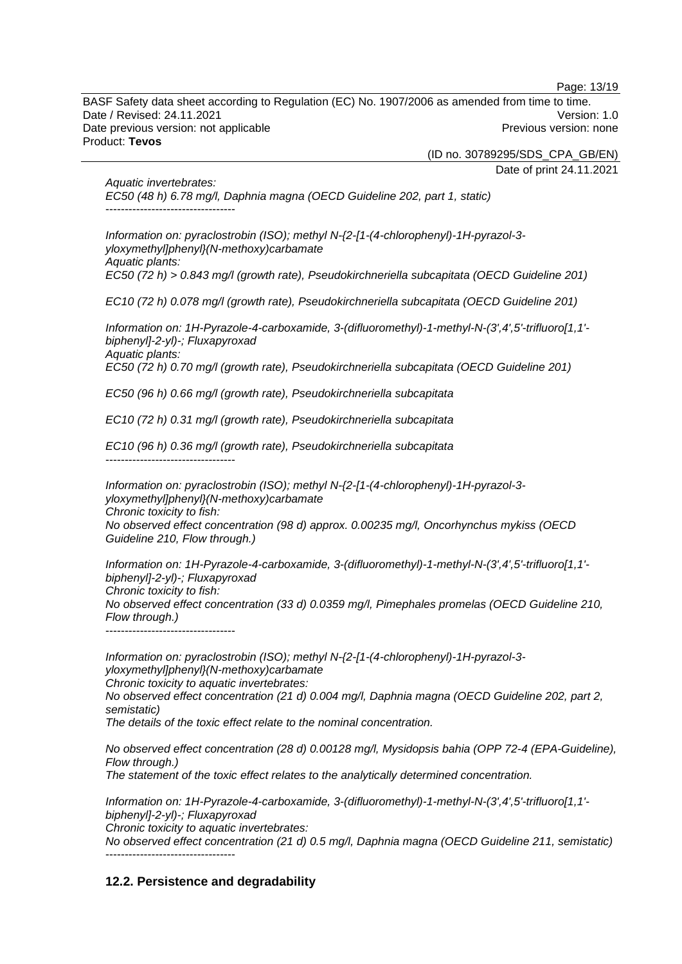Page: 13/19

BASF Safety data sheet according to Regulation (EC) No. 1907/2006 as amended from time to time. Date / Revised: 24.11.2021 **Version: 1.0** Date previous version: not applicable example and the Previous version: none Product: **Tevos** 

(ID no. 30789295/SDS\_CPA\_GB/EN)

Date of print 24.11.2021

*Aquatic invertebrates: EC50 (48 h) 6.78 mg/l, Daphnia magna (OECD Guideline 202, part 1, static)*   $-$ 

*Information on: pyraclostrobin (ISO); methyl N-{2-[1-(4-chlorophenyl)-1H-pyrazol-3 yloxymethyl]phenyl}(N-methoxy)carbamate Aquatic plants: EC50 (72 h) > 0.843 mg/l (growth rate), Pseudokirchneriella subcapitata (OECD Guideline 201)* 

*EC10 (72 h) 0.078 mg/l (growth rate), Pseudokirchneriella subcapitata (OECD Guideline 201)* 

*Information on: 1H-Pyrazole-4-carboxamide, 3-(difluoromethyl)-1-methyl-N-(3',4',5'-trifluoro[1,1' biphenyl]-2-yl)-; Fluxapyroxad Aquatic plants: EC50 (72 h) 0.70 mg/l (growth rate), Pseudokirchneriella subcapitata (OECD Guideline 201)* 

*EC50 (96 h) 0.66 mg/l (growth rate), Pseudokirchneriella subcapitata* 

*EC10 (72 h) 0.31 mg/l (growth rate), Pseudokirchneriella subcapitata* 

*EC10 (96 h) 0.36 mg/l (growth rate), Pseudokirchneriella subcapitata*  -----------------------------------

*Information on: pyraclostrobin (ISO); methyl N-{2-[1-(4-chlorophenyl)-1H-pyrazol-3 yloxymethyl]phenyl}(N-methoxy)carbamate Chronic toxicity to fish: No observed effect concentration (98 d) approx. 0.00235 mg/l, Oncorhynchus mykiss (OECD Guideline 210, Flow through.)* 

*Information on: 1H-Pyrazole-4-carboxamide, 3-(difluoromethyl)-1-methyl-N-(3',4',5'-trifluoro[1,1' biphenyl]-2-yl)-; Fluxapyroxad Chronic toxicity to fish: No observed effect concentration (33 d) 0.0359 mg/l, Pimephales promelas (OECD Guideline 210, Flow through.)*  ----------------------------------

*Information on: pyraclostrobin (ISO); methyl N-{2-[1-(4-chlorophenyl)-1H-pyrazol-3 yloxymethyl]phenyl}(N-methoxy)carbamate Chronic toxicity to aquatic invertebrates: No observed effect concentration (21 d) 0.004 mg/l, Daphnia magna (OECD Guideline 202, part 2, semistatic)* 

*The details of the toxic effect relate to the nominal concentration.* 

*No observed effect concentration (28 d) 0.00128 mg/l, Mysidopsis bahia (OPP 72-4 (EPA-Guideline), Flow through.)* 

*The statement of the toxic effect relates to the analytically determined concentration.* 

*Information on: 1H-Pyrazole-4-carboxamide, 3-(difluoromethyl)-1-methyl-N-(3',4',5'-trifluoro[1,1' biphenyl]-2-yl)-; Fluxapyroxad* 

*Chronic toxicity to aquatic invertebrates:* 

*No observed effect concentration (21 d) 0.5 mg/l, Daphnia magna (OECD Guideline 211, semistatic)*  -----------------------------------

# **12.2. Persistence and degradability**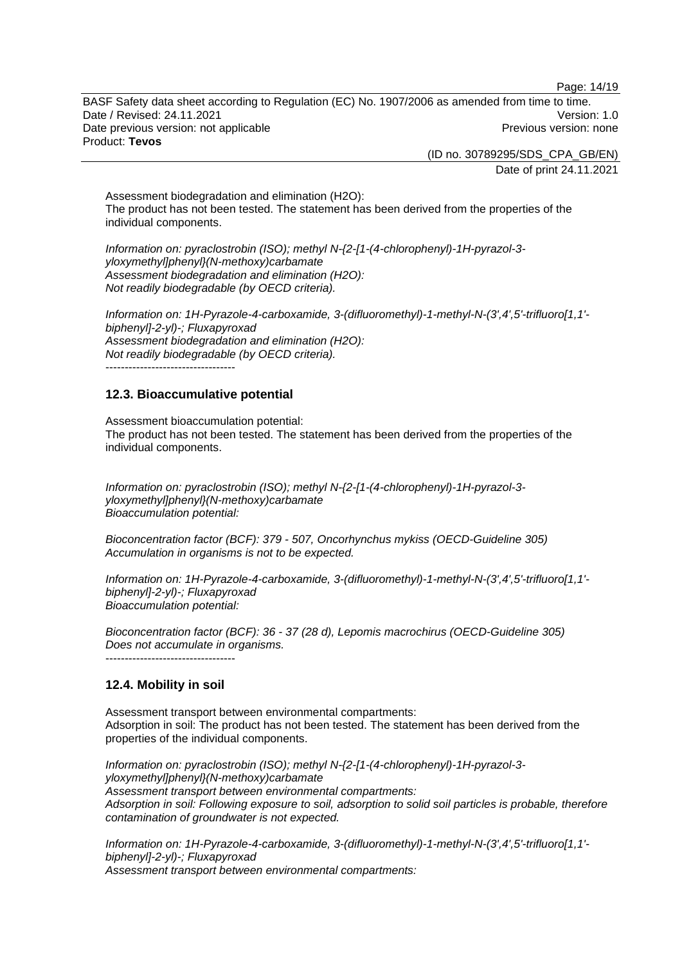Page: 14/19

BASF Safety data sheet according to Regulation (EC) No. 1907/2006 as amended from time to time. Date / Revised: 24.11.2021 Version: 1.0 Date previous version: not applicable example and the Previous version: none Product: **Tevos** 

(ID no. 30789295/SDS\_CPA\_GB/EN)

Date of print 24.11.2021

Assessment biodegradation and elimination (H2O): The product has not been tested. The statement has been derived from the properties of the individual components.

*Information on: pyraclostrobin (ISO); methyl N-{2-[1-(4-chlorophenyl)-1H-pyrazol-3 yloxymethyl]phenyl}(N-methoxy)carbamate Assessment biodegradation and elimination (H2O): Not readily biodegradable (by OECD criteria).* 

*Information on: 1H-Pyrazole-4-carboxamide, 3-(difluoromethyl)-1-methyl-N-(3',4',5'-trifluoro[1,1' biphenyl]-2-yl)-; Fluxapyroxad Assessment biodegradation and elimination (H2O): Not readily biodegradable (by OECD criteria).*  -----------------------------------

# **12.3. Bioaccumulative potential**

Assessment bioaccumulation potential: The product has not been tested. The statement has been derived from the properties of the individual components.

*Information on: pyraclostrobin (ISO); methyl N-{2-[1-(4-chlorophenyl)-1H-pyrazol-3 yloxymethyl]phenyl}(N-methoxy)carbamate Bioaccumulation potential:* 

*Bioconcentration factor (BCF): 379 - 507, Oncorhynchus mykiss (OECD-Guideline 305) Accumulation in organisms is not to be expected.* 

*Information on: 1H-Pyrazole-4-carboxamide, 3-(difluoromethyl)-1-methyl-N-(3',4',5'-trifluoro[1,1' biphenyl]-2-yl)-; Fluxapyroxad Bioaccumulation potential:* 

*Bioconcentration factor (BCF): 36 - 37 (28 d), Lepomis macrochirus (OECD-Guideline 305) Does not accumulate in organisms.* 

 $-$ 

#### **12.4. Mobility in soil**

Assessment transport between environmental compartments: Adsorption in soil: The product has not been tested. The statement has been derived from the properties of the individual components.

*Information on: pyraclostrobin (ISO); methyl N-{2-[1-(4-chlorophenyl)-1H-pyrazol-3 yloxymethyl]phenyl}(N-methoxy)carbamate Assessment transport between environmental compartments: Adsorption in soil: Following exposure to soil, adsorption to solid soil particles is probable, therefore contamination of groundwater is not expected.*

*Information on: 1H-Pyrazole-4-carboxamide, 3-(difluoromethyl)-1-methyl-N-(3',4',5'-trifluoro[1,1' biphenyl]-2-yl)-; Fluxapyroxad Assessment transport between environmental compartments:*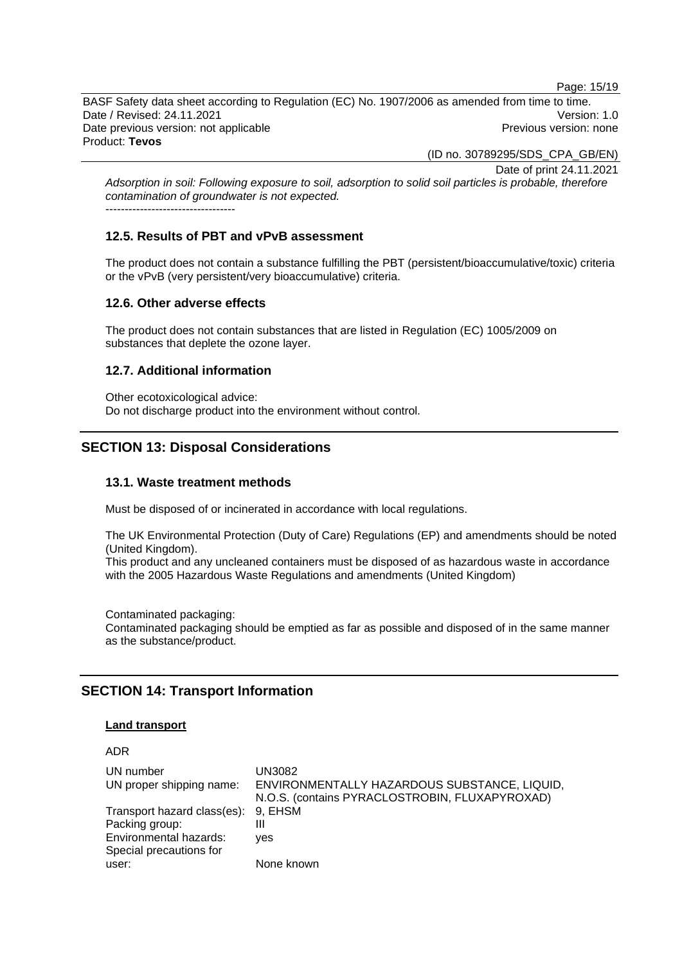Page: 15/19

BASF Safety data sheet according to Regulation (EC) No. 1907/2006 as amended from time to time. Date / Revised: 24.11.2021 **Version: 1.0** Date previous version: not applicable example and the Previous version: none Product: **Tevos** 

(ID no. 30789295/SDS\_CPA\_GB/EN)

Date of print 24.11.2021

*Adsorption in soil: Following exposure to soil, adsorption to solid soil particles is probable, therefore contamination of groundwater is not expected.* ----------------------------------

# **12.5. Results of PBT and vPvB assessment**

The product does not contain a substance fulfilling the PBT (persistent/bioaccumulative/toxic) criteria or the vPvB (very persistent/very bioaccumulative) criteria.

# **12.6. Other adverse effects**

The product does not contain substances that are listed in Regulation (EC) 1005/2009 on substances that deplete the ozone layer.

# **12.7. Additional information**

Other ecotoxicological advice: Do not discharge product into the environment without control.

# **SECTION 13: Disposal Considerations**

# **13.1. Waste treatment methods**

Must be disposed of or incinerated in accordance with local regulations.

The UK Environmental Protection (Duty of Care) Regulations (EP) and amendments should be noted (United Kingdom).

This product and any uncleaned containers must be disposed of as hazardous waste in accordance with the 2005 Hazardous Waste Regulations and amendments (United Kingdom)

Contaminated packaging: Contaminated packaging should be emptied as far as possible and disposed of in the same manner as the substance/product.

# **SECTION 14: Transport Information**

#### **Land transport**

# ADR

| UN number<br>UN proper shipping name:                                                                      | UN3082<br>ENVIRONMENTALLY HAZARDOUS SUBSTANCE, LIQUID,<br>N.O.S. (contains PYRACLOSTROBIN, FLUXAPYROXAD) |
|------------------------------------------------------------------------------------------------------------|----------------------------------------------------------------------------------------------------------|
| Transport hazard class(es): 9, EHSM<br>Packing group:<br>Environmental hazards:<br>Special precautions for | Ш<br><b>ves</b>                                                                                          |
| user:                                                                                                      | None known                                                                                               |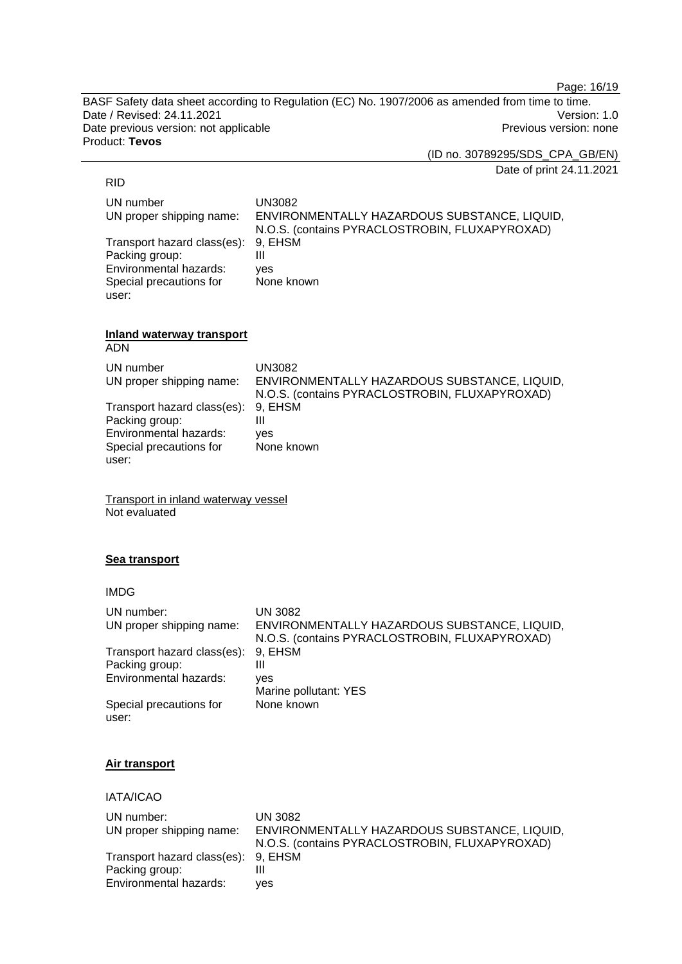Page: 16/19

BASF Safety data sheet according to Regulation (EC) No. 1907/2006 as amended from time to time. Date / Revised: 24.11.2021 **Version: 1.0** Date previous version: not applicable **Previous version: none** Previous version: none Product: **Tevos** 

(ID no. 30789295/SDS\_CPA\_GB/EN)

Date of print 24.11.2021

### RID

UN number UN3082 UN proper shipping name: ENVIRONMENTALLY HAZARDOUS SUBSTANCE, LIQUID, N.O.S. (contains PYRACLOSTROBIN, FLUXAPYROXAD) Transport hazard class(es): 9, EHSM Packing group: III Environmental hazards: yes Special precautions for user: None known

#### **Inland waterway transport**  ADN

| , , , , , ,                 |                                                |
|-----------------------------|------------------------------------------------|
| UN number                   | UN3082                                         |
| UN proper shipping name:    | ENVIRONMENTALLY HAZARDOUS SUBSTANCE, LIQUID,   |
|                             | N.O.S. (contains PYRACLOSTROBIN, FLUXAPYROXAD) |
| Transport hazard class(es): | 9. EHSM                                        |
| Packing group:              | Ш                                              |
| Environmental hazards:      | ves                                            |
| Special precautions for     | None known                                     |
| user:                       |                                                |

Transport in inland waterway vessel Not evaluated

#### **Sea transport**

IMDG

| UN number:<br>UN proper shipping name: | UN 3082<br>ENVIRONMENTALLY HAZARDOUS SUBSTANCE, LIQUID,<br>N.O.S. (contains PYRACLOSTROBIN, FLUXAPYROXAD) |
|----------------------------------------|-----------------------------------------------------------------------------------------------------------|
| Transport hazard class(es):            | 9, EHSM                                                                                                   |
| Packing group:                         | Ш                                                                                                         |
| Environmental hazards:                 | ves<br>Marine pollutant: YES                                                                              |
| Special precautions for<br>user:       | None known                                                                                                |

# **Air transport**

# IATA/ICAO

| UN number:                          | <b>UN 3082</b>                                 |
|-------------------------------------|------------------------------------------------|
| UN proper shipping name:            | ENVIRONMENTALLY HAZARDOUS SUBSTANCE, LIQUID,   |
|                                     | N.O.S. (contains PYRACLOSTROBIN, FLUXAPYROXAD) |
| Transport hazard class(es): 9, EHSM |                                                |
| Packing group:                      |                                                |
| Environmental hazards:              | ves                                            |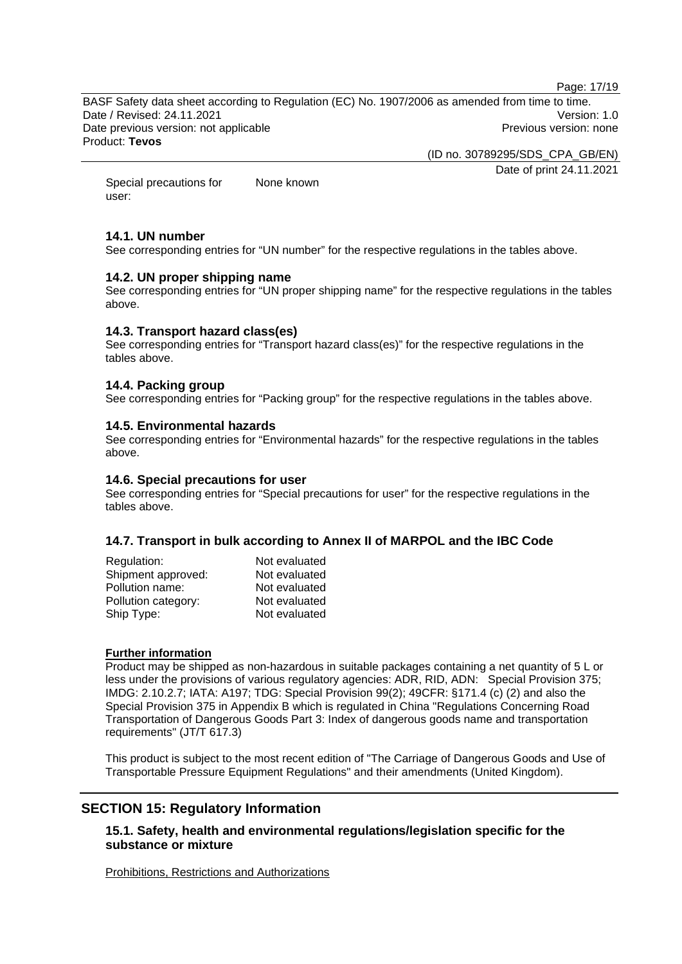Page: 17/19

BASF Safety data sheet according to Regulation (EC) No. 1907/2006 as amended from time to time. Date / Revised: 24.11.2021 Version: 1.0 Date previous version: not applicable example and previous version: none Previous version: none Product: **Tevos** 

(ID no. 30789295/SDS\_CPA\_GB/EN)

Date of print 24.11.2021

Special precautions for user: None known

# **14.1. UN number**

See corresponding entries for "UN number" for the respective regulations in the tables above.

# **14.2. UN proper shipping name**

See corresponding entries for "UN proper shipping name" for the respective regulations in the tables above.

### **14.3. Transport hazard class(es)**

See corresponding entries for "Transport hazard class(es)" for the respective regulations in the tables above.

### **14.4. Packing group**

See corresponding entries for "Packing group" for the respective regulations in the tables above.

# **14.5. Environmental hazards**

See corresponding entries for "Environmental hazards" for the respective regulations in the tables above.

### **14.6. Special precautions for user**

See corresponding entries for "Special precautions for user" for the respective regulations in the tables above.

# **14.7. Transport in bulk according to Annex II of MARPOL and the IBC Code**

| Regulation:         | Not evaluated |
|---------------------|---------------|
| Shipment approved:  | Not evaluated |
| Pollution name:     | Not evaluated |
| Pollution category: | Not evaluated |
| Ship Type:          | Not evaluated |

#### **Further information**

Product may be shipped as non-hazardous in suitable packages containing a net quantity of 5 L or less under the provisions of various regulatory agencies: ADR, RID, ADN: Special Provision 375; IMDG: 2.10.2.7; IATA: A197; TDG: Special Provision 99(2); 49CFR: §171.4 (c) (2) and also the Special Provision 375 in Appendix B which is regulated in China "Regulations Concerning Road Transportation of Dangerous Goods Part 3: Index of dangerous goods name and transportation requirements" (JT/T 617.3)

This product is subject to the most recent edition of "The Carriage of Dangerous Goods and Use of Transportable Pressure Equipment Regulations" and their amendments (United Kingdom).

# **SECTION 15: Regulatory Information**

# **15.1. Safety, health and environmental regulations/legislation specific for the substance or mixture**

Prohibitions, Restrictions and Authorizations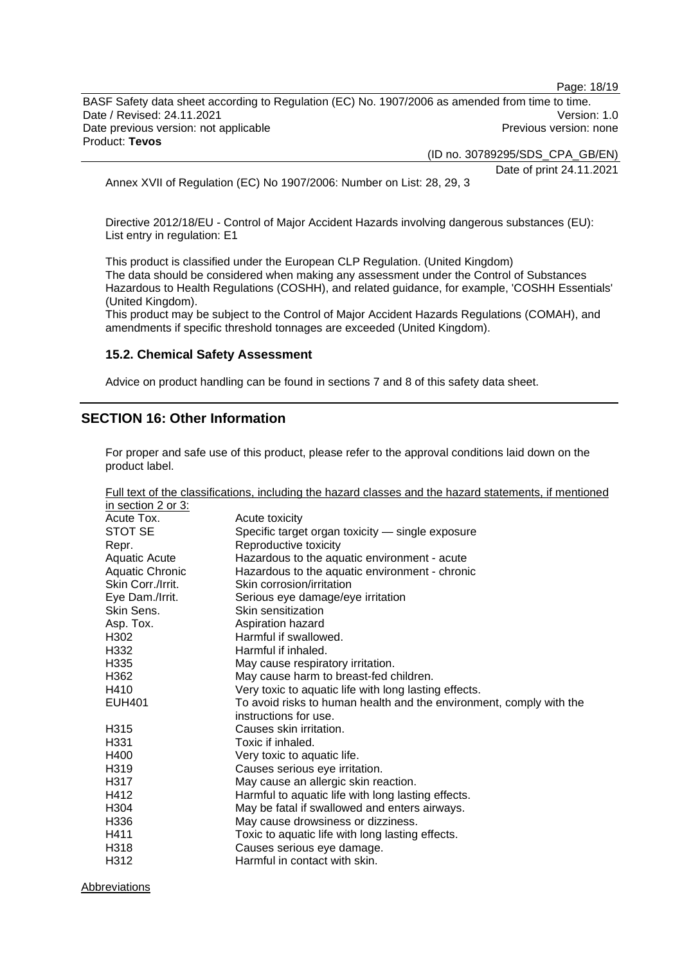Page: 18/19

BASF Safety data sheet according to Regulation (EC) No. 1907/2006 as amended from time to time. Date / Revised: 24.11.2021 **Version: 1.0** Date previous version: not applicable **Previous version: none** Previous version: none Product: **Tevos** 

(ID no. 30789295/SDS\_CPA\_GB/EN)

Date of print 24.11.2021

Annex XVII of Regulation (EC) No 1907/2006: Number on List: 28, 29, 3

Directive 2012/18/EU - Control of Major Accident Hazards involving dangerous substances (EU): List entry in regulation: E1

This product is classified under the European CLP Regulation. (United Kingdom) The data should be considered when making any assessment under the Control of Substances Hazardous to Health Regulations (COSHH), and related guidance, for example, 'COSHH Essentials' (United Kingdom).

This product may be subject to the Control of Major Accident Hazards Regulations (COMAH), and amendments if specific threshold tonnages are exceeded (United Kingdom).

### **15.2. Chemical Safety Assessment**

Advice on product handling can be found in sections 7 and 8 of this safety data sheet.

# **SECTION 16: Other Information**

For proper and safe use of this product, please refer to the approval conditions laid down on the product label.

|                        | Full text of the classifications, including the hazard classes and the hazard statements, if mentioned |
|------------------------|--------------------------------------------------------------------------------------------------------|
| in section 2 or 3:     |                                                                                                        |
| Acute Tox.             | Acute toxicity                                                                                         |
| STOT SE                | Specific target organ toxicity - single exposure                                                       |
| Repr.                  | Reproductive toxicity                                                                                  |
| Aquatic Acute          | Hazardous to the aquatic environment - acute                                                           |
| <b>Aquatic Chronic</b> | Hazardous to the aquatic environment - chronic                                                         |
| Skin Corr./Irrit.      | Skin corrosion/irritation                                                                              |
| Eye Dam./Irrit.        | Serious eye damage/eye irritation                                                                      |
| Skin Sens.             | Skin sensitization                                                                                     |
| Asp. Tox.              | Aspiration hazard                                                                                      |
| H302                   | Harmful if swallowed.                                                                                  |
| H332                   | Harmful if inhaled.                                                                                    |
| H335                   | May cause respiratory irritation.                                                                      |
| H362                   | May cause harm to breast-fed children.                                                                 |
| H410                   | Very toxic to aquatic life with long lasting effects.                                                  |
| EUH401                 | To avoid risks to human health and the environment, comply with the                                    |
|                        | instructions for use.                                                                                  |
| H <sub>315</sub>       | Causes skin irritation.                                                                                |
| H <sub>331</sub>       | Toxic if inhaled.                                                                                      |
| H400                   | Very toxic to aquatic life.                                                                            |
| H <sub>3</sub> 19      | Causes serious eye irritation.                                                                         |
| H317                   | May cause an allergic skin reaction.                                                                   |
| H412                   | Harmful to aquatic life with long lasting effects.                                                     |
| H <sub>304</sub>       | May be fatal if swallowed and enters airways.                                                          |
| H336                   | May cause drowsiness or dizziness.                                                                     |
| H411                   | Toxic to aquatic life with long lasting effects.                                                       |
| H318                   | Causes serious eye damage.                                                                             |
| H312                   | Harmful in contact with skin.                                                                          |

Abbreviations